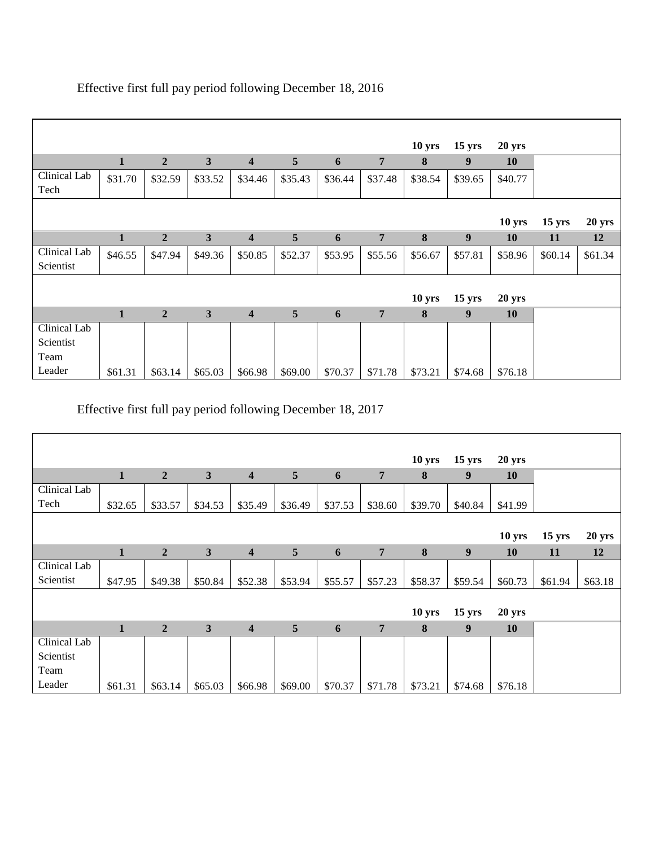|              |              |                |              |                         |         |         |                | 10 <sub>yrs</sub> | $15 \text{ yrs}$ | 20 yrs            |                  |         |
|--------------|--------------|----------------|--------------|-------------------------|---------|---------|----------------|-------------------|------------------|-------------------|------------------|---------|
|              | $\mathbf{1}$ | $\overline{2}$ | $\mathbf{3}$ | $\overline{\mathbf{4}}$ | 5       | 6       | $\overline{7}$ | 8                 | 9                | 10                |                  |         |
| Clinical Lab | \$31.70      | \$32.59        | \$33.52      | \$34.46                 | \$35.43 | \$36.44 | \$37.48        | \$38.54           | \$39.65          | \$40.77           |                  |         |
| Tech         |              |                |              |                         |         |         |                |                   |                  |                   |                  |         |
|              |              |                |              |                         |         |         |                |                   |                  |                   |                  |         |
|              |              |                |              |                         |         |         |                |                   |                  | 10 <sub>yrs</sub> | $15 \text{ yrs}$ | 20 yrs  |
|              | $\mathbf{1}$ | $\overline{2}$ | $\mathbf{3}$ | $\overline{\mathbf{4}}$ | 5       | 6       | $\overline{7}$ | 8                 | 9                | <b>10</b>         | <b>11</b>        | 12      |
| Clinical Lab | \$46.55      | \$47.94        | \$49.36      | \$50.85                 | \$52.37 | \$53.95 | \$55.56        | \$56.67           | \$57.81          | \$58.96           | \$60.14          | \$61.34 |
| Scientist    |              |                |              |                         |         |         |                |                   |                  |                   |                  |         |
|              |              |                |              |                         |         |         |                |                   |                  |                   |                  |         |
|              |              |                |              |                         |         |         |                | 10 <sub>yrs</sub> | $15 \text{ yrs}$ | <b>20 yrs</b>     |                  |         |
|              | $\mathbf{1}$ | $\overline{2}$ | $\mathbf{3}$ | $\overline{\mathbf{4}}$ | 5       | 6       | $\overline{7}$ | 8                 | 9                | 10                |                  |         |
| Clinical Lab |              |                |              |                         |         |         |                |                   |                  |                   |                  |         |
| Scientist    |              |                |              |                         |         |         |                |                   |                  |                   |                  |         |
| Team         |              |                |              |                         |         |         |                |                   |                  |                   |                  |         |
| Leader       | \$61.31      | \$63.14        | \$65.03      | \$66.98                 | \$69.00 | \$70.37 | \$71.78        | \$73.21           | \$74.68          | \$76.18           |                  |         |

## Effective first full pay period following December 18, 2016

Effective first full pay period following December 18, 2017

|              |              |                  |              |                         |         |         |                | 10 <sub>yrs</sub> | $15 \text{ yrs}$ | 20 yrs            |                  |         |
|--------------|--------------|------------------|--------------|-------------------------|---------|---------|----------------|-------------------|------------------|-------------------|------------------|---------|
|              | $\mathbf{1}$ | $\overline{2}$   | $\mathbf{3}$ | $\overline{\mathbf{4}}$ | 5       | 6       | $\overline{7}$ | 8                 | 9                | <b>10</b>         |                  |         |
| Clinical Lab |              |                  |              |                         |         |         |                |                   |                  |                   |                  |         |
| Tech         | \$32.65      | \$33.57          | \$34.53      | \$35.49                 | \$36.49 | \$37.53 | \$38.60        | \$39.70           | \$40.84          | \$41.99           |                  |         |
|              |              |                  |              |                         |         |         |                |                   |                  |                   |                  |         |
|              |              |                  |              |                         |         |         |                |                   |                  | 10 <sub>yrs</sub> | $15 \text{ yrs}$ | 20 yrs  |
|              | $\mathbf{1}$ | $\overline{2}$   | 3            | $\overline{\mathbf{4}}$ | 5       | 6       | $\overline{7}$ | $\bf{8}$          | 9                | <b>10</b>         | 11               | 12      |
| Clinical Lab |              |                  |              |                         |         |         |                |                   |                  |                   |                  |         |
| Scientist    | \$47.95      | \$49.38          | \$50.84      | \$52.38                 | \$53.94 | \$55.57 | \$57.23        | \$58.37           | \$59.54          | \$60.73           | \$61.94          | \$63.18 |
|              |              |                  |              |                         |         |         |                |                   |                  |                   |                  |         |
|              |              |                  |              |                         |         |         |                | 10 <sub>yrs</sub> | $15 \text{ yrs}$ | <b>20 yrs</b>     |                  |         |
|              | $\mathbf{1}$ | $\boldsymbol{2}$ | $\mathbf{3}$ | $\overline{\mathbf{4}}$ | 5       | 6       | $\overline{7}$ | 8                 | 9                | 10                |                  |         |
| Clinical Lab |              |                  |              |                         |         |         |                |                   |                  |                   |                  |         |
| Scientist    |              |                  |              |                         |         |         |                |                   |                  |                   |                  |         |
| Team         |              |                  |              |                         |         |         |                |                   |                  |                   |                  |         |
| Leader       | \$61.31      | \$63.14          | \$65.03      | \$66.98                 | \$69.00 | \$70.37 | \$71.78        | \$73.21           | \$74.68          | \$76.18           |                  |         |